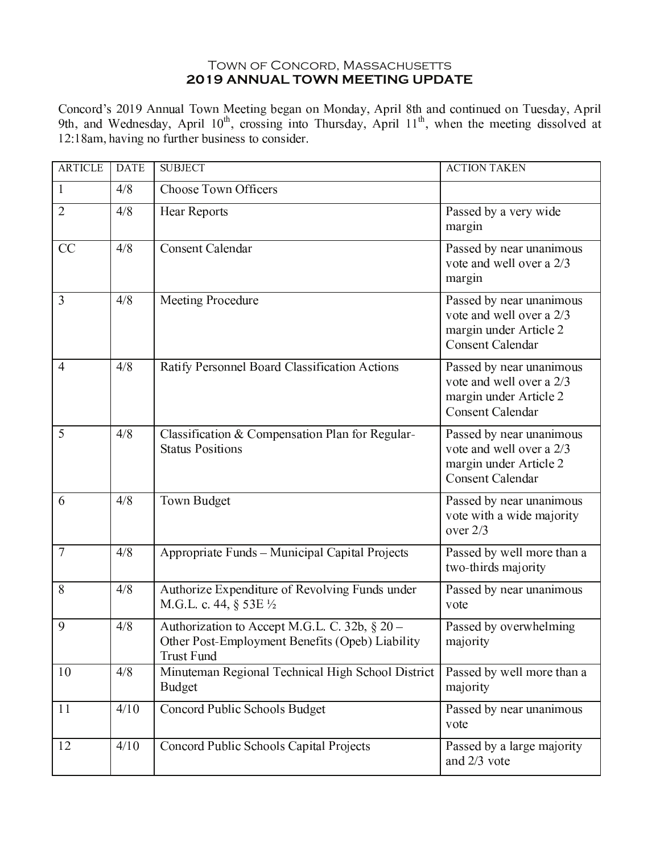## TOWN OF CONCORD, MASSACHUSETTS 2019 ANNUAL TOWN MEETING UPDATE

Concord's 2019 Annual Town Meeting began on Monday, April 8th and continued on Tuesday, April 9th, and Wednesday, April 10<sup>th</sup>, crossing into Thursday, April 11<sup>th</sup>, when the meeting dissolved at 12:18am, having no further business to consider.

| <b>ARTICLE</b> | <b>DATE</b> | <b>SUBJECT</b>                                                                                                        | <b>ACTION TAKEN</b>                                                                                       |
|----------------|-------------|-----------------------------------------------------------------------------------------------------------------------|-----------------------------------------------------------------------------------------------------------|
| $\mathbf{1}$   | 4/8         | <b>Choose Town Officers</b>                                                                                           |                                                                                                           |
| $\overline{2}$ | 4/8         | <b>Hear Reports</b>                                                                                                   | Passed by a very wide<br>margin                                                                           |
| CC             | 4/8         | <b>Consent Calendar</b>                                                                                               | Passed by near unanimous<br>vote and well over a 2/3<br>margin                                            |
| 3              | 4/8         | Meeting Procedure                                                                                                     | Passed by near unanimous<br>vote and well over a 2/3<br>margin under Article 2<br><b>Consent Calendar</b> |
| $\overline{4}$ | 4/8         | Ratify Personnel Board Classification Actions                                                                         | Passed by near unanimous<br>vote and well over a 2/3<br>margin under Article 2<br><b>Consent Calendar</b> |
| 5              | 4/8         | Classification & Compensation Plan for Regular-<br><b>Status Positions</b>                                            | Passed by near unanimous<br>vote and well over a 2/3<br>margin under Article 2<br><b>Consent Calendar</b> |
| 6              | 4/8         | Town Budget                                                                                                           | Passed by near unanimous<br>vote with a wide majority<br>over $2/3$                                       |
| $\overline{7}$ | 4/8         | Appropriate Funds - Municipal Capital Projects                                                                        | Passed by well more than a<br>two-thirds majority                                                         |
| 8              | 4/8         | Authorize Expenditure of Revolving Funds under<br>M.G.L. c. 44, $\S$ 53E $\frac{1}{2}$                                | Passed by near unanimous<br>vote                                                                          |
| 9              | 4/8         | Authorization to Accept M.G.L. C. 32b, § 20 -<br>Other Post-Employment Benefits (Opeb) Liability<br><b>Trust Fund</b> | Passed by overwhelming<br>majority                                                                        |
| 10             | 4/8         | Minuteman Regional Technical High School District<br><b>Budget</b>                                                    | Passed by well more than a<br>majority                                                                    |
| 11             | 4/10        | Concord Public Schools Budget                                                                                         | Passed by near unanimous<br>vote                                                                          |
| 12             | 4/10        | Concord Public Schools Capital Projects                                                                               | Passed by a large majority<br>and 2/3 vote                                                                |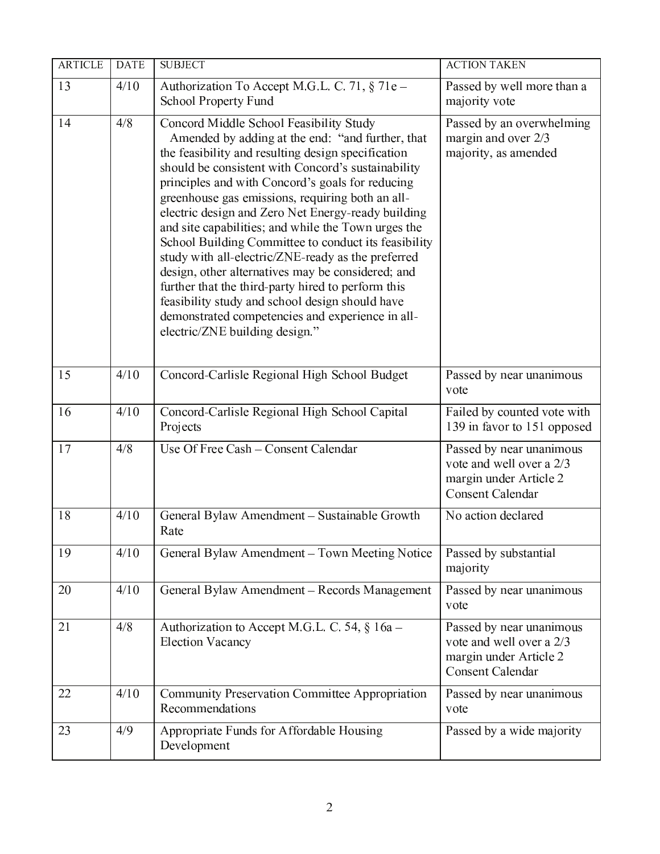| <b>ARTICLE</b> | <b>DATE</b> | <b>SUBJECT</b>                                                                                                                                                                                                                                                                                                                                                                                                                                                                                                                                                                                                                                                                                                                                                                                 | <b>ACTION TAKEN</b>                                                                                       |
|----------------|-------------|------------------------------------------------------------------------------------------------------------------------------------------------------------------------------------------------------------------------------------------------------------------------------------------------------------------------------------------------------------------------------------------------------------------------------------------------------------------------------------------------------------------------------------------------------------------------------------------------------------------------------------------------------------------------------------------------------------------------------------------------------------------------------------------------|-----------------------------------------------------------------------------------------------------------|
| 13             | 4/10        | Authorization To Accept M.G.L. C. 71, § 71e -<br><b>School Property Fund</b>                                                                                                                                                                                                                                                                                                                                                                                                                                                                                                                                                                                                                                                                                                                   | Passed by well more than a<br>majority vote                                                               |
| 14             | 4/8         | Concord Middle School Feasibility Study<br>Amended by adding at the end: "and further, that<br>the feasibility and resulting design specification<br>should be consistent with Concord's sustainability<br>principles and with Concord's goals for reducing<br>greenhouse gas emissions, requiring both an all-<br>electric design and Zero Net Energy-ready building<br>and site capabilities; and while the Town urges the<br>School Building Committee to conduct its feasibility<br>study with all-electric/ZNE-ready as the preferred<br>design, other alternatives may be considered; and<br>further that the third-party hired to perform this<br>feasibility study and school design should have<br>demonstrated competencies and experience in all-<br>electric/ZNE building design." | Passed by an overwhelming<br>margin and over 2/3<br>majority, as amended                                  |
| 15             | 4/10        | Concord-Carlisle Regional High School Budget                                                                                                                                                                                                                                                                                                                                                                                                                                                                                                                                                                                                                                                                                                                                                   | Passed by near unanimous<br>vote                                                                          |
| 16             | 4/10        | Concord-Carlisle Regional High School Capital<br>Projects                                                                                                                                                                                                                                                                                                                                                                                                                                                                                                                                                                                                                                                                                                                                      | Failed by counted vote with<br>139 in favor to 151 opposed                                                |
| 17             | 4/8         | Use Of Free Cash - Consent Calendar                                                                                                                                                                                                                                                                                                                                                                                                                                                                                                                                                                                                                                                                                                                                                            | Passed by near unanimous<br>vote and well over a 2/3<br>margin under Article 2<br><b>Consent Calendar</b> |
| 18             | 4/10        | General Bylaw Amendment - Sustainable Growth<br>Rate                                                                                                                                                                                                                                                                                                                                                                                                                                                                                                                                                                                                                                                                                                                                           | No action declared                                                                                        |
| 19             | 4/10        | General Bylaw Amendment - Town Meeting Notice                                                                                                                                                                                                                                                                                                                                                                                                                                                                                                                                                                                                                                                                                                                                                  | Passed by substantial<br>majority                                                                         |
| 20             | 4/10        | General Bylaw Amendment - Records Management                                                                                                                                                                                                                                                                                                                                                                                                                                                                                                                                                                                                                                                                                                                                                   | Passed by near unanimous<br>vote                                                                          |
| 21             | 4/8         | Authorization to Accept M.G.L. C. 54, § 16a –<br><b>Election Vacancy</b>                                                                                                                                                                                                                                                                                                                                                                                                                                                                                                                                                                                                                                                                                                                       | Passed by near unanimous<br>vote and well over a 2/3<br>margin under Article 2<br><b>Consent Calendar</b> |
| 22             | 4/10        | <b>Community Preservation Committee Appropriation</b><br>Recommendations                                                                                                                                                                                                                                                                                                                                                                                                                                                                                                                                                                                                                                                                                                                       | Passed by near unanimous<br>vote                                                                          |
| 23             | 4/9         | Appropriate Funds for Affordable Housing<br>Development                                                                                                                                                                                                                                                                                                                                                                                                                                                                                                                                                                                                                                                                                                                                        | Passed by a wide majority                                                                                 |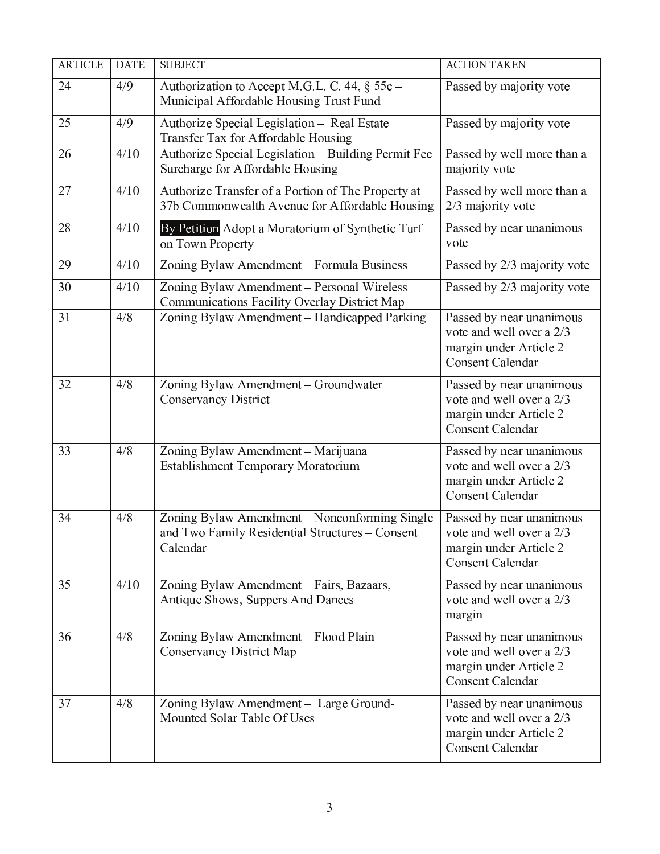| <b>ARTICLE</b> | <b>DATE</b> | <b>SUBJECT</b>                                                                                               | <b>ACTION TAKEN</b>                                                                                       |
|----------------|-------------|--------------------------------------------------------------------------------------------------------------|-----------------------------------------------------------------------------------------------------------|
| 24             | 4/9         | Authorization to Accept M.G.L. C. 44, § 55c -<br>Municipal Affordable Housing Trust Fund                     | Passed by majority vote                                                                                   |
| 25             | 4/9         | Authorize Special Legislation - Real Estate<br>Transfer Tax for Affordable Housing                           | Passed by majority vote                                                                                   |
| 26             | 4/10        | Authorize Special Legislation - Building Permit Fee<br>Surcharge for Affordable Housing                      | Passed by well more than a<br>majority vote                                                               |
| 27             | 4/10        | Authorize Transfer of a Portion of The Property at<br>37b Commonwealth Avenue for Affordable Housing         | Passed by well more than a<br>2/3 majority vote                                                           |
| 28             | 4/10        | By Petition Adopt a Moratorium of Synthetic Turf<br>on Town Property                                         | Passed by near unanimous<br>vote                                                                          |
| 29             | 4/10        | Zoning Bylaw Amendment - Formula Business                                                                    | Passed by 2/3 majority vote                                                                               |
| 30             | 4/10        | Zoning Bylaw Amendment - Personal Wireless<br>Communications Facility Overlay District Map                   | Passed by 2/3 majority vote                                                                               |
| 31             | 4/8         | Zoning Bylaw Amendment - Handicapped Parking                                                                 | Passed by near unanimous<br>vote and well over a 2/3<br>margin under Article 2<br><b>Consent Calendar</b> |
| 32             | 4/8         | Zoning Bylaw Amendment - Groundwater<br><b>Conservancy District</b>                                          | Passed by near unanimous<br>vote and well over a 2/3<br>margin under Article 2<br><b>Consent Calendar</b> |
| 33             | 4/8         | Zoning Bylaw Amendment - Marijuana<br><b>Establishment Temporary Moratorium</b>                              | Passed by near unanimous<br>vote and well over a 2/3<br>margin under Article 2<br><b>Consent Calendar</b> |
| 34             | 4/8         | Zoning Bylaw Amendment - Nonconforming Single<br>and Two Family Residential Structures - Consent<br>Calendar | Passed by near unanimous<br>vote and well over a 2/3<br>margin under Article 2<br><b>Consent Calendar</b> |
| 35             | 4/10        | Zoning Bylaw Amendment - Fairs, Bazaars,<br>Antique Shows, Suppers And Dances                                | Passed by near unanimous<br>vote and well over a 2/3<br>margin                                            |
| 36             | 4/8         | Zoning Bylaw Amendment - Flood Plain<br>Conservancy District Map                                             | Passed by near unanimous<br>vote and well over a 2/3<br>margin under Article 2<br><b>Consent Calendar</b> |
| 37             | 4/8         | Zoning Bylaw Amendment - Large Ground-<br>Mounted Solar Table Of Uses                                        | Passed by near unanimous<br>vote and well over a 2/3<br>margin under Article 2<br><b>Consent Calendar</b> |